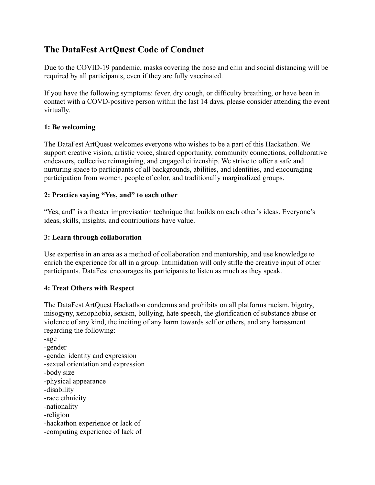# **The DataFest ArtQuest Code of Conduct**

Due to the COVID-19 pandemic, masks covering the nose and chin and social distancing will be required by all participants, even if they are fully vaccinated.

If you have the following symptoms: fever, dry cough, or difficulty breathing, or have been in contact with a COVD-positive person within the last 14 days, please consider attending the event virtually.

### **1: Be welcoming**

The DataFest ArtQuest welcomes everyone who wishes to be a part of this Hackathon. We support creative vision, artistic voice, shared opportunity, community connections, collaborative endeavors, collective reimagining, and engaged citizenship. We strive to offer a safe and nurturing space to participants of all backgrounds, abilities, and identities, and encouraging participation from women, people of color, and traditionally marginalized groups.

### **2: Practice saying "Yes, and" to each other**

"Yes, and" is a theater improvisation technique that builds on each other's ideas. Everyone's ideas, skills, insights, and contributions have value.

### **3: Learn through collaboration**

Use expertise in an area as a method of collaboration and mentorship, and use knowledge to enrich the experience for all in a group. Intimidation will only stifle the creative input of other participants. DataFest encourages its participants to listen as much as they speak.

## **4: Treat Others with Respect**

The DataFest ArtQuest Hackathon condemns and prohibits on all platforms racism, bigotry, misogyny, xenophobia, sexism, bullying, hate speech, the glorification of substance abuse or violence of any kind, the inciting of any harm towards self or others, and any harassment regarding the following:

-age -gender -gender identity and expression -sexual orientation and expression -body size -physical appearance -disability -race ethnicity -nationality -religion -hackathon experience or lack of -computing experience of lack of